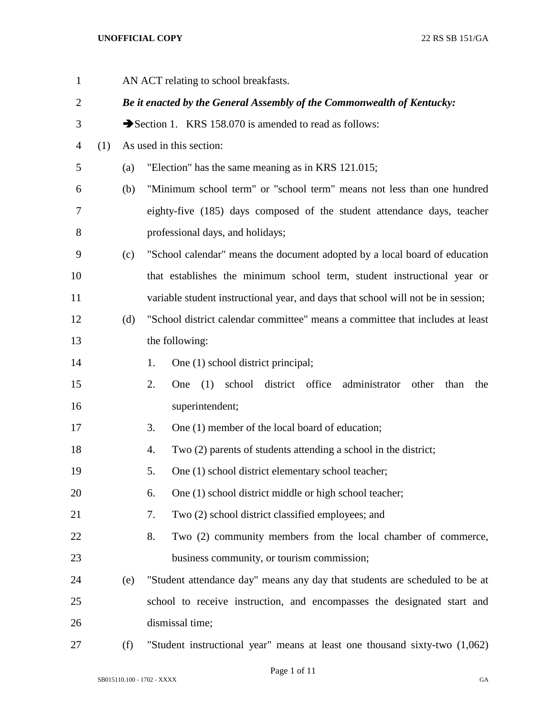| $\mathbf{1}$   |     | AN ACT relating to school breakfasts. |                                                                                   |  |  |
|----------------|-----|---------------------------------------|-----------------------------------------------------------------------------------|--|--|
| $\overline{c}$ |     |                                       | Be it enacted by the General Assembly of the Commonwealth of Kentucky:            |  |  |
| 3              |     |                                       | Section 1. KRS 158.070 is amended to read as follows:                             |  |  |
| $\overline{4}$ | (1) |                                       | As used in this section:                                                          |  |  |
| 5              |     | (a)                                   | "Election" has the same meaning as in KRS 121.015;                                |  |  |
| 6              |     | (b)                                   | "Minimum school term" or "school term" means not less than one hundred            |  |  |
| 7              |     |                                       | eighty-five (185) days composed of the student attendance days, teacher           |  |  |
| 8              |     |                                       | professional days, and holidays;                                                  |  |  |
| 9              |     | (c)                                   | "School calendar" means the document adopted by a local board of education        |  |  |
| 10             |     |                                       | that establishes the minimum school term, student instructional year or           |  |  |
| 11             |     |                                       | variable student instructional year, and days that school will not be in session; |  |  |
| 12             |     | (d)                                   | "School district calendar committee" means a committee that includes at least     |  |  |
| 13             |     |                                       | the following:                                                                    |  |  |
| 14             |     |                                       | One (1) school district principal;<br>1.                                          |  |  |
| 15             |     |                                       | One (1) school district office administrator<br>2.<br>other<br>than<br>the        |  |  |
| 16             |     |                                       | superintendent;                                                                   |  |  |
| 17             |     |                                       | One (1) member of the local board of education;<br>3.                             |  |  |
| 18             |     |                                       | Two (2) parents of students attending a school in the district;<br>4.             |  |  |
| 19             |     |                                       | One (1) school district elementary school teacher;<br>5.                          |  |  |
| 20             |     |                                       | One (1) school district middle or high school teacher;<br>6.                      |  |  |
| 21             |     |                                       | Two (2) school district classified employees; and<br>7.                           |  |  |
| 22             |     |                                       | Two (2) community members from the local chamber of commerce,<br>8.               |  |  |
| 23             |     |                                       | business community, or tourism commission;                                        |  |  |
| 24             |     | (e)                                   | "Student attendance day" means any day that students are scheduled to be at       |  |  |
| 25             |     |                                       | school to receive instruction, and encompasses the designated start and           |  |  |
| 26             |     |                                       | dismissal time;                                                                   |  |  |
| 27             |     | (f)                                   | "Student instructional year" means at least one thousand sixty-two (1,062)        |  |  |

Page 1 of 11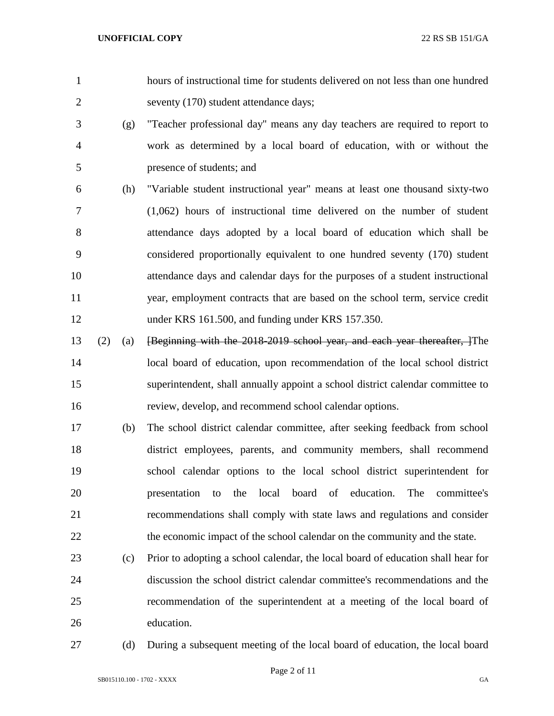- hours of instructional time for students delivered on not less than one hundred seventy (170) student attendance days;
- (g) "Teacher professional day" means any day teachers are required to report to work as determined by a local board of education, with or without the presence of students; and
- (h) "Variable student instructional year" means at least one thousand sixty-two (1,062) hours of instructional time delivered on the number of student attendance days adopted by a local board of education which shall be considered proportionally equivalent to one hundred seventy (170) student attendance days and calendar days for the purposes of a student instructional year, employment contracts that are based on the school term, service credit under KRS 161.500, and funding under KRS 157.350.
- (2) (a) [Beginning with the 2018-2019 school year, and each year thereafter, ]The local board of education, upon recommendation of the local school district superintendent, shall annually appoint a school district calendar committee to review, develop, and recommend school calendar options.
- (b) The school district calendar committee, after seeking feedback from school district employees, parents, and community members, shall recommend school calendar options to the local school district superintendent for presentation to the local board of education. The committee's recommendations shall comply with state laws and regulations and consider 22 the economic impact of the school calendar on the community and the state.
- (c) Prior to adopting a school calendar, the local board of education shall hear for discussion the school district calendar committee's recommendations and the recommendation of the superintendent at a meeting of the local board of education.
- 

(d) During a subsequent meeting of the local board of education, the local board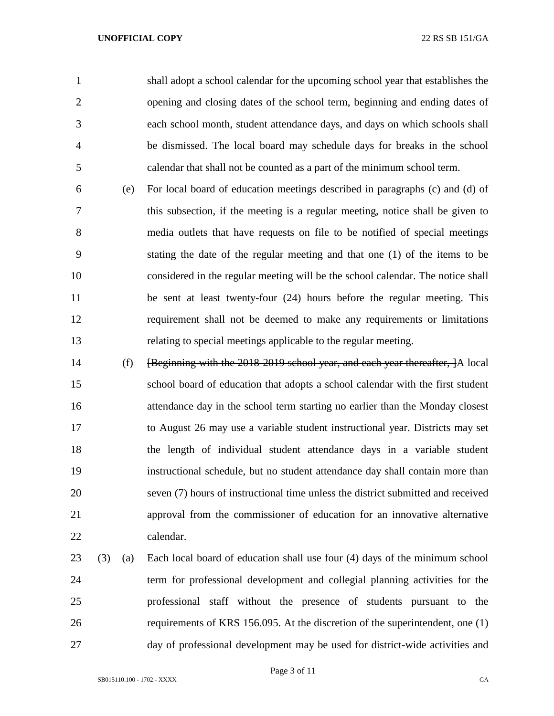shall adopt a school calendar for the upcoming school year that establishes the opening and closing dates of the school term, beginning and ending dates of each school month, student attendance days, and days on which schools shall be dismissed. The local board may schedule days for breaks in the school calendar that shall not be counted as a part of the minimum school term.

- (e) For local board of education meetings described in paragraphs (c) and (d) of this subsection, if the meeting is a regular meeting, notice shall be given to media outlets that have requests on file to be notified of special meetings stating the date of the regular meeting and that one (1) of the items to be considered in the regular meeting will be the school calendar. The notice shall be sent at least twenty-four (24) hours before the regular meeting. This requirement shall not be deemed to make any requirements or limitations relating to special meetings applicable to the regular meeting.
- (f) [Beginning with the 2018-2019 school year, and each year thereafter, ]A local school board of education that adopts a school calendar with the first student attendance day in the school term starting no earlier than the Monday closest to August 26 may use a variable student instructional year. Districts may set the length of individual student attendance days in a variable student instructional schedule, but no student attendance day shall contain more than seven (7) hours of instructional time unless the district submitted and received approval from the commissioner of education for an innovative alternative calendar.
- (3) (a) Each local board of education shall use four (4) days of the minimum school term for professional development and collegial planning activities for the professional staff without the presence of students pursuant to the requirements of KRS 156.095. At the discretion of the superintendent, one (1) day of professional development may be used for district-wide activities and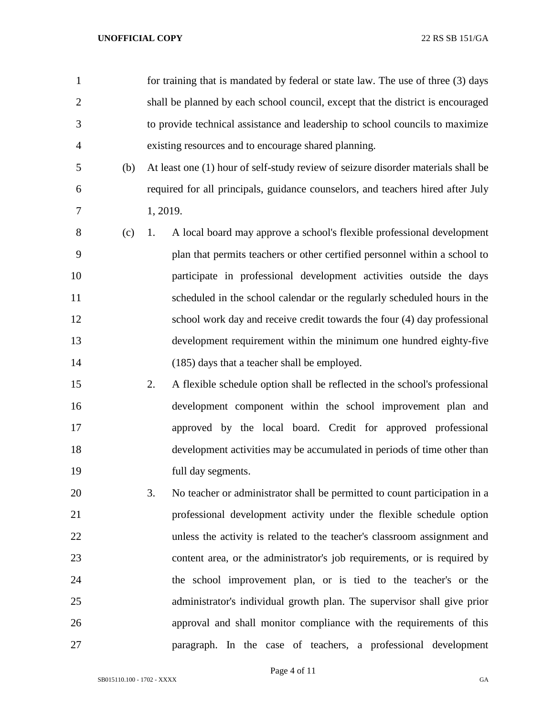| $\mathbf{1}$   | for training that is mandated by federal or state law. The use of three (3) days  |
|----------------|-----------------------------------------------------------------------------------|
| $\mathbf{2}$   | shall be planned by each school council, except that the district is encouraged   |
| 3              | to provide technical assistance and leadership to school councils to maximize     |
| $\overline{4}$ | existing resources and to encourage shared planning.                              |
| 5<br>(b)       | At least one (1) hour of self-study review of seizure disorder materials shall be |
| 6              | required for all principals, guidance counselors, and teachers hired after July   |
| 7              | 1, 2019.                                                                          |
| 8<br>(c)       | A local board may approve a school's flexible professional development<br>1.      |
| 9              | plan that permits teachers or other certified personnel within a school to        |
| 10             | participate in professional development activities outside the days               |
| 11             | scheduled in the school calendar or the regularly scheduled hours in the          |
| 12             | school work day and receive credit towards the four (4) day professional          |
| 13             | development requirement within the minimum one hundred eighty-five                |
| 14             | (185) days that a teacher shall be employed.                                      |
| 15             | 2.<br>A flexible schedule option shall be reflected in the school's professional  |
| 16             | development component within the school improvement plan and                      |
| 17             | approved by the local board. Credit for approved professional                     |
| 18             | development activities may be accumulated in periods of time other than           |
| 19             | full day segments.                                                                |
| 20             | 3.<br>No teacher or administrator shall be permitted to count participation in a  |
| 21             | professional development activity under the flexible schedule option              |
| 22             | unless the activity is related to the teacher's classroom assignment and          |
| 23             | content area, or the administrator's job requirements, or is required by          |
| 24             | the school improvement plan, or is tied to the teacher's or the                   |
| 25             | administrator's individual growth plan. The supervisor shall give prior           |
| 26             | approval and shall monitor compliance with the requirements of this               |
| 27             | paragraph. In the case of teachers, a professional development                    |

Page 4 of 11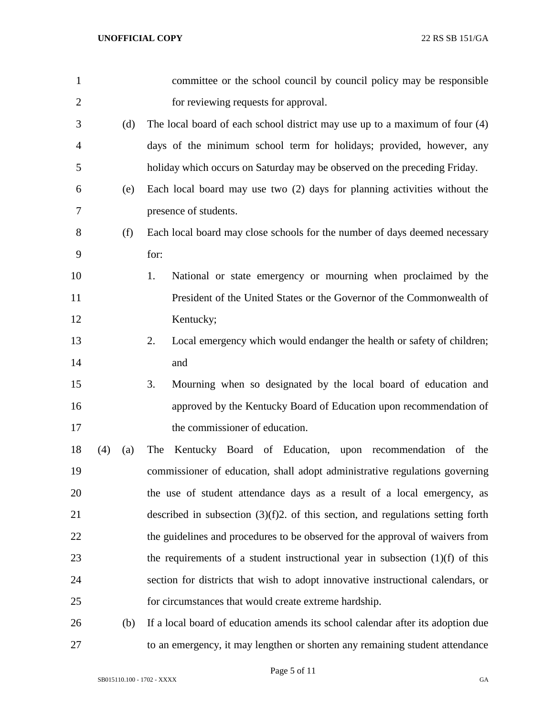| $\mathbf{1}$   |     |     | committee or the school council by council policy may be responsible               |
|----------------|-----|-----|------------------------------------------------------------------------------------|
| $\overline{2}$ |     |     | for reviewing requests for approval.                                               |
| 3              |     | (d) | The local board of each school district may use up to a maximum of four $(4)$      |
| $\overline{4}$ |     |     | days of the minimum school term for holidays; provided, however, any               |
| 5              |     |     | holiday which occurs on Saturday may be observed on the preceding Friday.          |
| 6              |     | (e) | Each local board may use two (2) days for planning activities without the          |
| 7              |     |     | presence of students.                                                              |
| 8              |     | (f) | Each local board may close schools for the number of days deemed necessary         |
| 9              |     |     | for:                                                                               |
| 10             |     |     | National or state emergency or mourning when proclaimed by the<br>1.               |
| 11             |     |     | President of the United States or the Governor of the Commonwealth of              |
| 12             |     |     | Kentucky;                                                                          |
| 13             |     |     | Local emergency which would endanger the health or safety of children;<br>2.       |
| 14             |     |     | and                                                                                |
| 15             |     |     | Mourning when so designated by the local board of education and<br>3.              |
| 16             |     |     | approved by the Kentucky Board of Education upon recommendation of                 |
| 17             |     |     | the commissioner of education.                                                     |
| 18             | (4) | (a) | The Kentucky Board of Education, upon recommendation of the                        |
| 19             |     |     | commissioner of education, shall adopt administrative regulations governing        |
| 20             |     |     | the use of student attendance days as a result of a local emergency, as            |
| 21             |     |     | described in subsection $(3)(f)2$ . of this section, and regulations setting forth |
| 22             |     |     | the guidelines and procedures to be observed for the approval of waivers from      |
| 23             |     |     | the requirements of a student instructional year in subsection $(1)(f)$ of this    |
| 24             |     |     | section for districts that wish to adopt innovative instructional calendars, or    |
| 25             |     |     | for circumstances that would create extreme hardship.                              |
| 26             |     | (b) | If a local board of education amends its school calendar after its adoption due    |
| 27             |     |     | to an emergency, it may lengthen or shorten any remaining student attendance       |

Page 5 of 11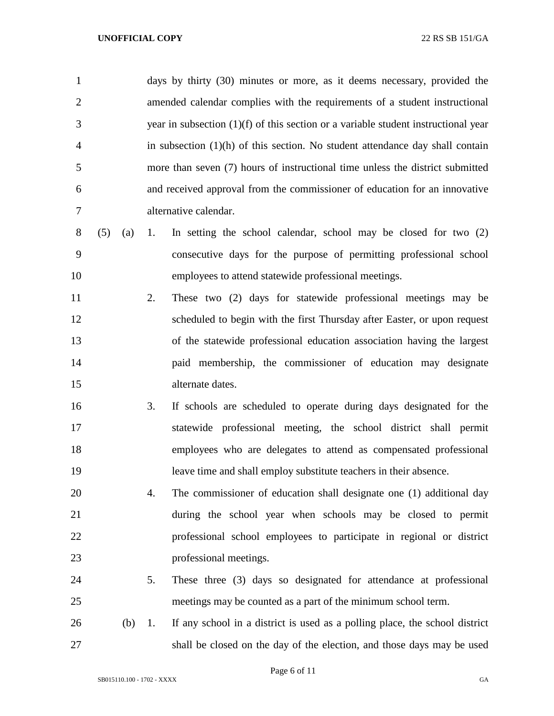| $\mathbf{1}$   |     |     |    | days by thirty (30) minutes or more, as it deems necessary, provided the             |
|----------------|-----|-----|----|--------------------------------------------------------------------------------------|
| $\overline{2}$ |     |     |    | amended calendar complies with the requirements of a student instructional           |
| 3              |     |     |    | year in subsection $(1)(f)$ of this section or a variable student instructional year |
| $\overline{4}$ |     |     |    | in subsection $(1)(h)$ of this section. No student attendance day shall contain      |
| 5              |     |     |    | more than seven (7) hours of instructional time unless the district submitted        |
| 6              |     |     |    | and received approval from the commissioner of education for an innovative           |
| 7              |     |     |    | alternative calendar.                                                                |
| 8              | (5) | (a) | 1. | In setting the school calendar, school may be closed for two $(2)$                   |
| 9              |     |     |    | consecutive days for the purpose of permitting professional school                   |
| 10             |     |     |    | employees to attend statewide professional meetings.                                 |
| 11             |     |     | 2. | These two (2) days for statewide professional meetings may be                        |
| 12             |     |     |    | scheduled to begin with the first Thursday after Easter, or upon request             |
| 13             |     |     |    | of the statewide professional education association having the largest               |
| 14             |     |     |    | paid membership, the commissioner of education may designate                         |
| 15             |     |     |    | alternate dates.                                                                     |
| 16             |     |     | 3. | If schools are scheduled to operate during days designated for the                   |
| 17             |     |     |    | statewide professional meeting, the school district shall permit                     |
| 18             |     |     |    | employees who are delegates to attend as compensated professional                    |
| 19             |     |     |    | leave time and shall employ substitute teachers in their absence.                    |
| 20             |     |     | 4. | The commissioner of education shall designate one (1) additional day                 |
| 21             |     |     |    | during the school year when schools may be closed to permit                          |
| 22             |     |     |    | professional school employees to participate in regional or district                 |
| 23             |     |     |    | professional meetings.                                                               |
| 24             |     |     | 5. | These three (3) days so designated for attendance at professional                    |
| 25             |     |     |    | meetings may be counted as a part of the minimum school term.                        |
| 26             |     | (b) | 1. | If any school in a district is used as a polling place, the school district          |
| 27             |     |     |    | shall be closed on the day of the election, and those days may be used               |

Page 6 of 11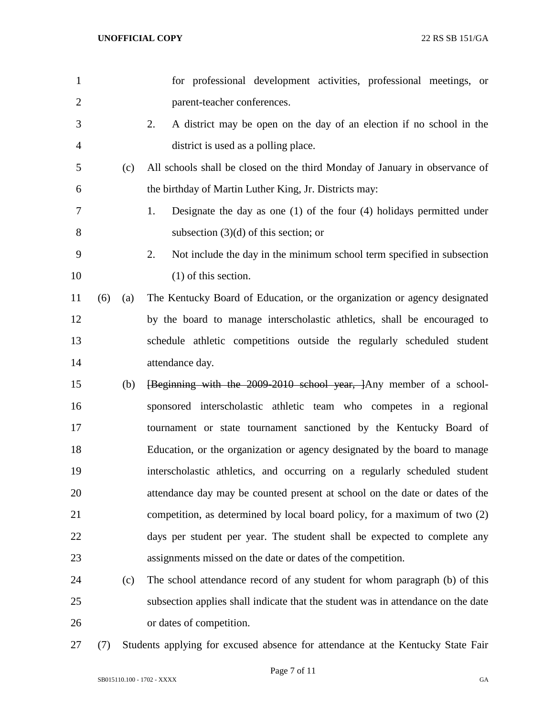| $\mathbf{1}$   |     |     | for professional development activities, professional meetings, or               |
|----------------|-----|-----|----------------------------------------------------------------------------------|
| $\overline{2}$ |     |     | parent-teacher conferences.                                                      |
| 3              |     |     | 2.<br>A district may be open on the day of an election if no school in the       |
| $\overline{4}$ |     |     | district is used as a polling place.                                             |
| 5              |     | (c) | All schools shall be closed on the third Monday of January in observance of      |
| 6              |     |     | the birthday of Martin Luther King, Jr. Districts may:                           |
| 7              |     |     | 1.<br>Designate the day as one $(1)$ of the four $(4)$ holidays permitted under  |
| 8              |     |     | subsection $(3)(d)$ of this section; or                                          |
| 9              |     |     | 2.<br>Not include the day in the minimum school term specified in subsection     |
| 10             |     |     | $(1)$ of this section.                                                           |
| 11             | (6) | (a) | The Kentucky Board of Education, or the organization or agency designated        |
| 12             |     |     | by the board to manage interscholastic athletics, shall be encouraged to         |
| 13             |     |     | schedule athletic competitions outside the regularly scheduled student           |
| 14             |     |     | attendance day.                                                                  |
| 15             |     | (b) | [Beginning with the 2009-2010 school year, ]Any member of a school-              |
| 16             |     |     | sponsored interscholastic athletic team who competes in a regional               |
| 17             |     |     | tournament or state tournament sanctioned by the Kentucky Board of               |
| 18             |     |     | Education, or the organization or agency designated by the board to manage       |
| 19             |     |     | interscholastic athletics, and occurring on a regularly scheduled student        |
| 20             |     |     | attendance day may be counted present at school on the date or dates of the      |
| 21             |     |     | competition, as determined by local board policy, for a maximum of two (2)       |
| 22             |     |     | days per student per year. The student shall be expected to complete any         |
| 23             |     |     | assignments missed on the date or dates of the competition.                      |
| 24             |     | (c) | The school attendance record of any student for whom paragraph (b) of this       |
| 25             |     |     | subsection applies shall indicate that the student was in attendance on the date |
| 26             |     |     | or dates of competition.                                                         |
|                |     |     |                                                                                  |

(7) Students applying for excused absence for attendance at the Kentucky State Fair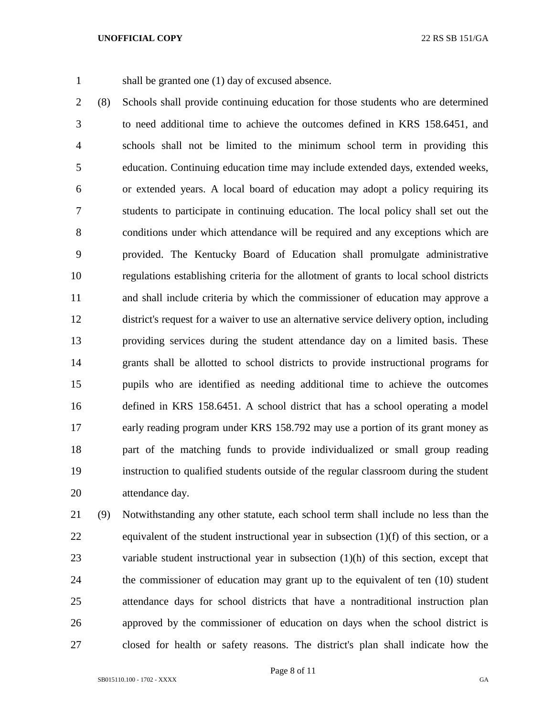shall be granted one (1) day of excused absence.

 (8) Schools shall provide continuing education for those students who are determined to need additional time to achieve the outcomes defined in KRS 158.6451, and schools shall not be limited to the minimum school term in providing this education. Continuing education time may include extended days, extended weeks, or extended years. A local board of education may adopt a policy requiring its students to participate in continuing education. The local policy shall set out the conditions under which attendance will be required and any exceptions which are provided. The Kentucky Board of Education shall promulgate administrative regulations establishing criteria for the allotment of grants to local school districts and shall include criteria by which the commissioner of education may approve a district's request for a waiver to use an alternative service delivery option, including providing services during the student attendance day on a limited basis. These grants shall be allotted to school districts to provide instructional programs for pupils who are identified as needing additional time to achieve the outcomes defined in KRS 158.6451. A school district that has a school operating a model early reading program under KRS 158.792 may use a portion of its grant money as part of the matching funds to provide individualized or small group reading instruction to qualified students outside of the regular classroom during the student attendance day.

 (9) Notwithstanding any other statute, each school term shall include no less than the equivalent of the student instructional year in subsection (1)(f) of this section, or a variable student instructional year in subsection (1)(h) of this section, except that the commissioner of education may grant up to the equivalent of ten (10) student attendance days for school districts that have a nontraditional instruction plan approved by the commissioner of education on days when the school district is closed for health or safety reasons. The district's plan shall indicate how the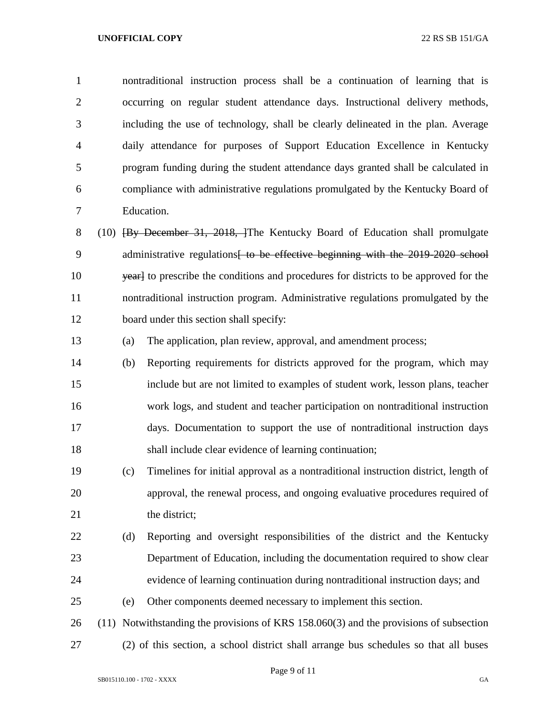nontraditional instruction process shall be a continuation of learning that is occurring on regular student attendance days. Instructional delivery methods, including the use of technology, shall be clearly delineated in the plan. Average daily attendance for purposes of Support Education Excellence in Kentucky program funding during the student attendance days granted shall be calculated in compliance with administrative regulations promulgated by the Kentucky Board of Education.

8 (10) **[By December 31, 2018, ]**The Kentucky Board of Education shall promulgate 9 administrative regulations<del> to be effective beginning with the 2019-2020 school</del> 10 yearl to prescribe the conditions and procedures for districts to be approved for the nontraditional instruction program. Administrative regulations promulgated by the board under this section shall specify:

(a) The application, plan review, approval, and amendment process;

 (b) Reporting requirements for districts approved for the program, which may include but are not limited to examples of student work, lesson plans, teacher work logs, and student and teacher participation on nontraditional instruction days. Documentation to support the use of nontraditional instruction days shall include clear evidence of learning continuation;

 (c) Timelines for initial approval as a nontraditional instruction district, length of approval, the renewal process, and ongoing evaluative procedures required of 21 the district;

 (d) Reporting and oversight responsibilities of the district and the Kentucky Department of Education, including the documentation required to show clear evidence of learning continuation during nontraditional instruction days; and

(e) Other components deemed necessary to implement this section.

 (11) Notwithstanding the provisions of KRS 158.060(3) and the provisions of subsection (2) of this section, a school district shall arrange bus schedules so that all buses

Page 9 of 11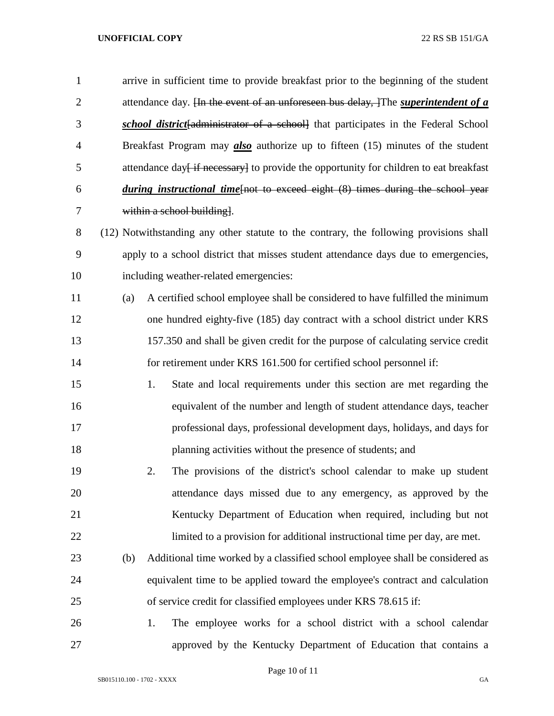arrive in sufficient time to provide breakfast prior to the beginning of the student attendance day. [In the event of an unforeseen bus delay, ]The *superintendent of a school district*[administrator of a school] that participates in the Federal School Breakfast Program may *also* authorize up to fifteen (15) minutes of the student attendance day<del> if necessary</del> to provide the opportunity for children to eat breakfast *during instructional time*[not to exceed eight (8) times during the school year within a school building].

- (12) Notwithstanding any other statute to the contrary, the following provisions shall apply to a school district that misses student attendance days due to emergencies, including weather-related emergencies:
- (a) A certified school employee shall be considered to have fulfilled the minimum one hundred eighty-five (185) day contract with a school district under KRS 157.350 and shall be given credit for the purpose of calculating service credit for retirement under KRS 161.500 for certified school personnel if:
- 1. State and local requirements under this section are met regarding the equivalent of the number and length of student attendance days, teacher professional days, professional development days, holidays, and days for planning activities without the presence of students; and
- 2. The provisions of the district's school calendar to make up student attendance days missed due to any emergency, as approved by the Kentucky Department of Education when required, including but not limited to a provision for additional instructional time per day, are met.
- (b) Additional time worked by a classified school employee shall be considered as equivalent time to be applied toward the employee's contract and calculation of service credit for classified employees under KRS 78.615 if:
- 1. The employee works for a school district with a school calendar approved by the Kentucky Department of Education that contains a

Page 10 of 11